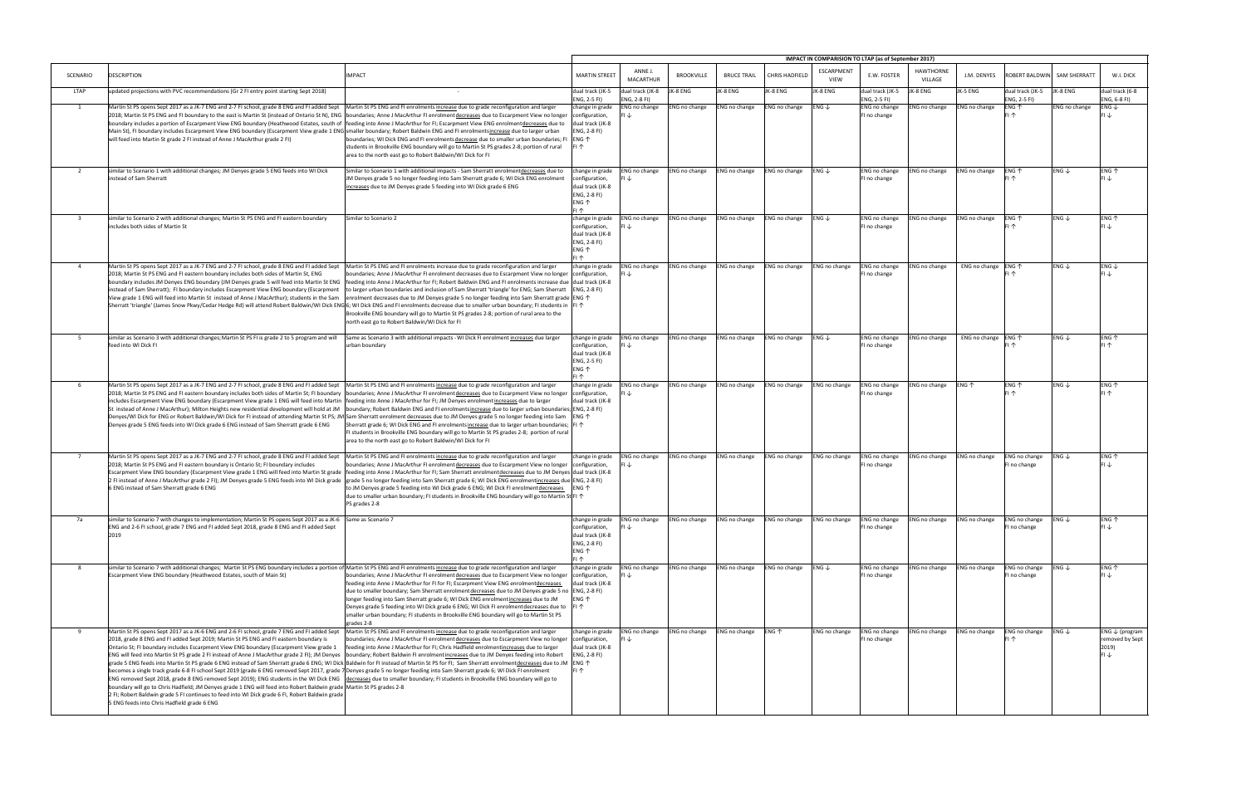|                |                                                                                                                                                                                                                                                                                                                                                                                                                                                                                                                                                                                                                                                                                                                                                                                                                                                                                                                                                                                                                                                                                                                                       |                                                                                                                                                                                                                                                                                                                                                                                                                                                                                                                                                                                                                                                                                          |                                                                                                                    |                                         |                             |                      |                                 | IMPACT IN COMPARISION TO LTAP (as of September 2017) |                                               |                             |                                      |                                      |                             |                                                               |
|----------------|---------------------------------------------------------------------------------------------------------------------------------------------------------------------------------------------------------------------------------------------------------------------------------------------------------------------------------------------------------------------------------------------------------------------------------------------------------------------------------------------------------------------------------------------------------------------------------------------------------------------------------------------------------------------------------------------------------------------------------------------------------------------------------------------------------------------------------------------------------------------------------------------------------------------------------------------------------------------------------------------------------------------------------------------------------------------------------------------------------------------------------------|------------------------------------------------------------------------------------------------------------------------------------------------------------------------------------------------------------------------------------------------------------------------------------------------------------------------------------------------------------------------------------------------------------------------------------------------------------------------------------------------------------------------------------------------------------------------------------------------------------------------------------------------------------------------------------------|--------------------------------------------------------------------------------------------------------------------|-----------------------------------------|-----------------------------|----------------------|---------------------------------|------------------------------------------------------|-----------------------------------------------|-----------------------------|--------------------------------------|--------------------------------------|-----------------------------|---------------------------------------------------------------|
| SCENARIO       | <b>DESCRIPTION</b>                                                                                                                                                                                                                                                                                                                                                                                                                                                                                                                                                                                                                                                                                                                                                                                                                                                                                                                                                                                                                                                                                                                    | <b>IMPACT</b>                                                                                                                                                                                                                                                                                                                                                                                                                                                                                                                                                                                                                                                                            | <b>MARTIN STREET</b>                                                                                               | ANNE J<br><b>MACARTHUR</b>              | <b>BROOKVILLE</b>           | <b>BRUCE TRAIL</b>   | CHRIS HADFIELD                  | ESCARPMENT<br><b>VIEW</b>                            | E.W. FOSTER                                   | <b>HAWTHORNE</b><br>VILLAGE | J.M. DENYES                          |                                      | ROBERT BALDWIN SAM SHERRATT | W.I. DICK                                                     |
| LTAP           | updated projections with PVC recommendations (Gr 2 FI entry point starting Sept 2018)                                                                                                                                                                                                                                                                                                                                                                                                                                                                                                                                                                                                                                                                                                                                                                                                                                                                                                                                                                                                                                                 |                                                                                                                                                                                                                                                                                                                                                                                                                                                                                                                                                                                                                                                                                          | dual track (JK-5                                                                                                   | dual track (JK-8<br>ENG, 2-8 FI)        | JK-8 ENG                    | JK-8 ENG             | JK-8 ENG                        | JK-8 ENG                                             | dual track (JK-5                              | JK-8 ENG                    | JK-5 ENG                             | dual track (JK-5                     | JK-8 ENG                    | dual track (6-8                                               |
| $\mathbf{1}$   | Martin St PS opens Sept 2017 as a JK-7 ENG and 2-7 FI school, grade 8 ENG and FI added Sept<br>2018; Martin St PS ENG and FI boundary to the east is Martin St (instead of Ontario St N), ENG  boundaries; Anne J MacArthur FI enrolment decreases due to Escarpment View no longer<br>boundary includes a portion of Escarpment View ENG boundary (Heathwood Estates, south of<br>Main St), FI boundary includes Escarpment View ENG boundary (Escarpment View grade 1 ENG smaller boundary; Robert Baldwin ENG and FI enrolmentsincrease due to larger urban<br>will feed into Martin St grade 2 FI instead of Anne J MacArthur grade 2 FI)                                                                                                                                                                                                                                                                                                                                                                                                                                                                                         | Martin St PS ENG and FI enrolments increase due to grade reconfiguration and larger<br>feeding into Anne J MacArthur for FI; Escarpment View ENG enrolmentdecreases due to<br>boundaries; WI Dick ENG and FI enrolments decrease due to smaller urban boundaries; FI<br>students in Brookville ENG boundary will go to Martin St PS grades 2-8; portion of rural<br>area to the north east go to Robert Baldwin/WI Dick for FI                                                                                                                                                                                                                                                           | ENG, 2-5 FI)<br>change in grade<br>configuration,<br>dual track (JK-8<br>ENG, 2-8 FI)<br>$ENG$ $\uparrow$<br>IFI 1 | ENG no change<br>$FI \downarrow$        | ENG no change               | <b>ENG no change</b> | ENG no change                   | $ENG \downarrow$                                     | ENG, 2-5 FI)<br>ENG no change<br>FI no change | NG no change                | <b>ENG no change</b>                 | ENG, 2-5 FI)<br>ENG 个<br>FI 个        | ENG no change               | ENG, 6-8 FI)<br>ENG $\downarrow$                              |
| 2              | similar to Scenario 1 with additional changes; JM Denyes grade 5 ENG feeds into WI Dick<br>instead of Sam Sherratt                                                                                                                                                                                                                                                                                                                                                                                                                                                                                                                                                                                                                                                                                                                                                                                                                                                                                                                                                                                                                    | Similar to Scenario 1 with additional impacts - Sam Sherratt enrolmentdecreases due to<br>IM Denyes grade 5 no longer feeding into Sam Sherratt grade 6; WI Dick ENG enrolment<br>increases due to JM Denyes grade 5 feeding into WI Dick grade 6 ENG                                                                                                                                                                                                                                                                                                                                                                                                                                    | change in grade<br>configuration,<br>dual track (JK-8<br>ENG, 2-8 FI)<br>ENG 个<br>FI 个                             | <b>ENG no change</b>                    | ENG no change               | <b>ENG no change</b> | <b>ENG no change</b>            | $ENG \downarrow$                                     | ENG no change<br>FI no change                 | ENG no change               | <b>ENG no change</b>                 | ENG 个                                | ENG $\downarrow$            | ENG 个<br>FIJ                                                  |
| $\mathbf{3}$   | similar to Scenario 2 with additional changes; Martin St PS ENG and FI eastern boundary<br>includes both sides of Martin St                                                                                                                                                                                                                                                                                                                                                                                                                                                                                                                                                                                                                                                                                                                                                                                                                                                                                                                                                                                                           | Similar to Scenario 2                                                                                                                                                                                                                                                                                                                                                                                                                                                                                                                                                                                                                                                                    | change in grade<br>configuration,<br>dual track (JK-8<br>ENG, 2-8 FI)<br>$ENG$ $\uparrow$<br>FI 个                  | <b>ENG no change</b>                    | ENG no change               | ENG no change        | ENG no change                   | $ENG \downarrow$                                     | ENG no change<br>FI no change                 | ENG no change               | ENG no change                        | ENG 1                                | ENG $\downarrow$            | ENG 个<br>FI J                                                 |
| $\overline{4}$ | Martin St PS opens Sept 2017 as a JK-7 ENG and 2-7 FI school, grade 8 ENG and FI added Sept<br>2018; Martin St PS ENG and FI eastern boundary includes both sides of Martin St, ENG<br>boundary includes JM Denyes ENG boundary (JM Denyes grade 5 will feed into Martin St ENG<br>instead of Sam Sherratt); FI boundary includes Escarpment View ENG boundary (Escarpment<br>View grade 1 ENG will feed into Martin St instead of Anne J MacArthur); students in the Sam<br>Sherratt 'triangle' (James Snow Pkwy/Cedar Hedge Rd) will attend Robert Baldwin/WI Dick ENG 6; WI Dick ENG and FI enrolments decrease due to smaller urban boundary; FI students in  FI ↑                                                                                                                                                                                                                                                                                                                                                                                                                                                                | Martin St PS ENG and FI enrolments increase due to grade reconfiguration and larger<br>boundaries; Anne J MacArthur FI enrolment decreases due to Escarpment View no longer  configuration,<br>feeding into Anne J MacArthur for FI; Robert Baldwin ENG and FI enrolments increase due dual track (JK-8<br>to larger urban boundaries and inclusion of Sam Sherratt 'triangle' for ENG; Sam Sherratt   ENG, 2-8 FI)<br>enrolment decreases due to JM Denyes grade 5 no longer feeding into Sam Sherratt grade <code> ENG</code> $\uparrow$<br>Brookville ENG boundary will go to Martin St PS grades 2-8; portion of rural area to the<br>north east go to Robert Baldwin/WI Dick for FI | change in grade                                                                                                    | <b>ENG no change</b><br>FI↓             | ENG no change               | <b>ENG no change</b> | ENG no change                   | ENG no change                                        | ENG no change<br>FI no change                 | ENG no change               | ENG no change $ ENG \nightharpoonup$ |                                      | $ENG \downarrow$            | ENG $\downarrow$<br>$FI \downarrow$                           |
| 5              | similar as Scenario 3 with additional changes; Martin St PS FI is grade 2 to 5 program and will<br>feed into WI Dick FI                                                                                                                                                                                                                                                                                                                                                                                                                                                                                                                                                                                                                                                                                                                                                                                                                                                                                                                                                                                                               | Same as Scenario 3 with additional impacts - WI Dick FI enrolment increases due larger<br>urban boundary                                                                                                                                                                                                                                                                                                                                                                                                                                                                                                                                                                                 | change in grade<br>configuration,<br>dual track (JK-8<br>ENG, 2-5 FI)<br>ENG 个<br>FI 个                             | ENG no change<br>FI↓                    | ENG no change               | ENG no change        | ENG no change                   | $ENG \downarrow$                                     | ENG no change<br>FI no change                 | <b>NG no change</b>         | ENG no change $ENG$ $\uparrow$       |                                      | ENG $\downarrow$            | ENG 个<br>FI <sup>T</sup>                                      |
| 6              | Martin St PS opens Sept 2017 as a JK-7 ENG and 2-7 FI school, grade 8 ENG and FI added Sept<br>2018; Martin St PS ENG and FI eastern boundary includes both sides of Martin St; FI boundary<br>includes Escarpment View ENG boundary (Escarpment View grade 1 ENG will feed into Martin<br>St instead of Anne J MacArthur); Milton Heights new residential development will hold at JM<br>Denyes/WI Dick for ENG or Robert Baldwin/WI Dick for FI instead of attending Martin St PS; JM Sam Sherratt enrolment decreases due to JM Denyes grade 5 no longer feeding into Sam<br>Denyes grade 5 ENG feeds into WI Dick grade 6 ENG instead of Sam Sherratt grade 6 ENG                                                                                                                                                                                                                                                                                                                                                                                                                                                                 | Martin St PS ENG and FI enrolments increase due to grade reconfiguration and larger<br>boundaries; Anne J MacArthur FI enrolment decreases due to Escarpment View no longer<br>feeding into Anne J MacArthur for FI; JM Denyes enrolment increases due to larger<br>boundary; Robert Baldwin ENG and FI enrolments increase due to larger urban boundaries; ENG, 2-8 FI)<br>Sherratt grade 6; WI Dick ENG and FI enrolments increase due to larger urban boundaries; $ F  \uparrow$<br>FI students in Brookville ENG boundary will go to Martin St PS grades 2-8; portion of rural<br>area to the north east go to Robert Baldwin/WI Dick for FI                                         | change in grade<br>configuration,<br>dual track (JK-8<br><b>ENG 个</b>                                              | <b>ENG no change</b><br>∣↓              | ENG no change               | ENG no change        | ENG no change                   | ENG no change                                        | ENG no change<br>FI no change                 | ENG no change               | $ENG \uparrow$                       | ENG 个<br>FI 1                        | ENG $\downarrow$            | ENG 个<br>FI 1                                                 |
| $\overline{7}$ | Martin St PS opens Sept 2017 as a JK-7 ENG and 2-7 FI school, grade 8 ENG and FI added Sept<br>2018; Martin St PS ENG and FI eastern boundary is Ontario St; FI boundary includes<br>Escarpment View ENG boundary (Escarpment View grade 1 ENG will feed into Martin St grade<br>2 FI instead of Anne J MacArthur grade 2 FI); JM Denyes grade 5 ENG feeds into WI Dick grade<br>6 ENG instead of Sam Sherratt grade 6 ENG                                                                                                                                                                                                                                                                                                                                                                                                                                                                                                                                                                                                                                                                                                            | Martin St PS ENG and FI enrolments increase due to grade reconfiguration and larger<br>boundaries; Anne J MacArthur FI enrolment decreases due to Escarpment View no longer configuration,<br>feeding into Anne J MacArthur for FI; Sam Sherratt enrolment decreases due to JM Denyes dual track (JK-8<br>grade 5 no longer feeding into Sam Sherratt grade 6; WI Dick ENG enrolmentincreases due ENG, 2-8 FI)<br>to JM Denyes grade 5 feeding into WI Dick grade 6 ENG; WI Dick FI enrolmentdecreases   ENG 个<br>due to smaller urban boundary; FI students in Brookville ENG boundary will go to Martin St FI $\uparrow$<br>PS grades 2-8                                              | change in grade                                                                                                    | ENG no change                           | ENG no change               | <b>ENG no change</b> | <b>ENG no change</b>            | ENG no change                                        | ENG no change<br>FI no change                 | ENG no change               | <b>ENG no change</b>                 | ENG no change<br>FI no change        | $ENG \downarrow$            | ENG 个<br>$FI \downarrow$                                      |
| 7a             | similar to Scenario 7 with changes to implementation; Martin St PS opens Sept 2017 as a JK-6 Same as Scenario 7<br>ENG and 2-6 FI school, grade 7 ENG and FI added Sept 2018, grade 8 ENG and FI added Sept<br>2019                                                                                                                                                                                                                                                                                                                                                                                                                                                                                                                                                                                                                                                                                                                                                                                                                                                                                                                   |                                                                                                                                                                                                                                                                                                                                                                                                                                                                                                                                                                                                                                                                                          | change in grade<br>configuration,<br>dual track (JK-8<br>ENG, 2-8 FI)<br>ENG 个<br>FI 个                             | <b>ENG no change</b><br>نا، ا           | ENG no change               | <b>ENG no change</b> | ENG no change                   | ENG no change                                        | ENG no change<br>FI no change                 | ENG no change               | <b>ENG no change</b>                 | ENG no change<br>I no change         | $ENG \downarrow$            | $ENG$ $\uparrow$<br>lFI J∠                                    |
| 8              | similar to Scenario 7 with additional changes; Martin St PS ENG boundary includes a portion of Martin St PS ENG and FI enrolments increase due to grade reconfiguration and larger<br>Escarpment View ENG boundary (Heathwood Estates, south of Main St)                                                                                                                                                                                                                                                                                                                                                                                                                                                                                                                                                                                                                                                                                                                                                                                                                                                                              | boundaries; Anne J MacArthur FI enrolment decreases due to Escarpment View no longer<br>feeding into Anne J MacArthur for FI for FI; Escarpment View ENG enrolmentdecreases<br>due to smaller boundary; Sam Sherratt enrolment decreases due to JM Denyes grade 5 no ENG, 2-8 FI)<br>longer feeding into Sam Sherratt grade 6; WI Dick ENG enrolment increases due to JM<br>Denyes grade 5 feeding into WI Dick grade 6 ENG; WI Dick FI enrolment decreases due to $ \cdot $ FI $\uparrow$<br>smaller urban boundary; FI students in Brookville ENG boundary will go to Martin St PS<br>grades 2-8                                                                                       | change in grade<br>configuration,<br>dual track (JK-8<br>ENG 个                                                     | ENG no change                           | ENG no change ENG no change |                      | ENG no change $ ENG \downarrow$ |                                                      | ENG no change<br>FI no change                 | ENG no change               | ENG no change                        | <b>ENG no change</b><br>FI no change | $ENG \downarrow$            | ENG 个<br>FI $\downarrow$                                      |
| -9             | Martin St PS opens Sept 2017 as a JK-6 ENG and 2-6 FI school, grade 7 ENG and FI added Sept<br>2018, grade 8 ENG and FI added Sept 2019; Martin St PS ENG and FI eastern boundary is<br>Ontario St; FI boundary includes Escarpment View ENG boundary (Escarpment View grade 1<br>ENG will feed into Martin St PS grade 2 FI instead of Anne J MacArthur grade 2 FI); JM Denyes<br>grade 5 ENG feeds into Martin St PS grade 6 ENG instead of Sam Sherratt grade 6 ENG; WI Dick Baldwin for FI instead of Martin St PS for FI; Sam Sherratt enrolmentdecreases due to JM  ENG 1<br>becomes a single track grade 6-8 FI school Sept 2019 (grade 6 ENG removed Sept 2017, grade 7 Denyes grade 5 no longer feeding into Sam Sherratt grade 6; WI Dick FI enrolment<br>ENG removed Sept 2018, grade 8 ENG removed Sept 2019); ENG students in the WI Dick ENG<br>boundary will go to Chris Hadfield; JM Denyes grade 1 ENG will feed into Robert Baldwin grade Martin St PS grades 2-8<br>2 FI; Robert Baldwin grade 5 FI continues to feed into WI Dick grade 6 FI, Robert Baldwin grade<br>5 ENG feeds into Chris Hadfield grade 6 ENG | Martin St PS ENG and FI enrolments increase due to grade reconfiguration and larger<br>boundaries; Anne J MacArthur FI enrolment <u>decreases</u> due to Escarpment View no longer<br>feeding into Anne J MacArthur for FI; Chris Hadfield enrolmentincreases due to larger<br>boundary; Robert Baldwin FI enrolment increases due to JM Denyes feeding into Robert<br>decreases due to smaller boundary; FI students in Brookville ENG boundary will go to                                                                                                                                                                                                                              | change in grade<br>configuration,<br>dual track (JK-8<br>ENG, 2-8 FI)<br>FI 1                                      | <b>ENG no change</b><br>$FI \downarrow$ | ENG no change               | ENG no change        | $ENG \uparrow$                  | ENG no change                                        | ENG no change<br>FI no change                 | ENG no change               | ENG no change                        | <b>ENG no change</b>                 | $ENG \downarrow$            | ENG $\downarrow$ (program<br>removed by Sept<br>2019)<br>FI J |